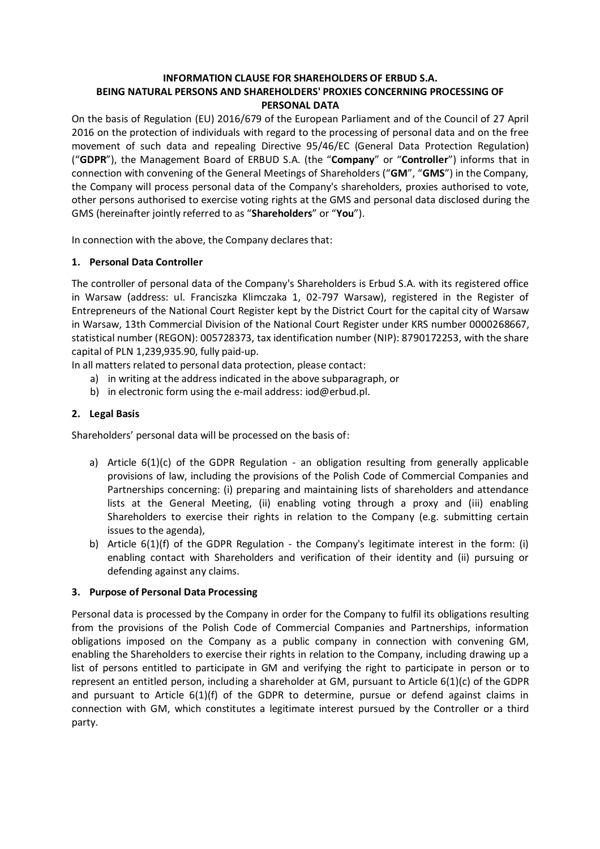## **INFORMATION CLAUSE FOR SHAREHOLDERS OF ERBUD S.A. BEING NATURAL PERSONS AND SHAREHOLDERS' PROXIES CONCERNING PROCESSING OF PERSONAL DATA**

On the basis of Regulation (EU) 2016/679 of the European Parliament and of the Council of 27 April 2016 on the protection of individuals with regard to the processing of personal data and on the free movement of such data and repealing Directive 95/46/EC (General Data Protection Regulation) ("**GDPR**"), the Management Board of ERBUD S.A. (the "**Company**" or "**Controller**") informs that in connection with convening of the General Meetings of Shareholders ("**GM**", "**GMS**") in the Company, the Company will process personal data of the Company's shareholders, proxies authorised to vote, other persons authorised to exercise voting rights at the GMS and personal data disclosed during the GMS (hereinafter jointly referred to as "**Shareholders**" or "**You**").

In connection with the above, the Company declares that:

## **1. Personal Data Controller**

The controller of personal data of the Company's Shareholders is Erbud S.A. with its registered office in Warsaw (address: ul. Franciszka Klimczaka 1, 02-797 Warsaw), registered in the Register of Entrepreneurs of the National Court Register kept by the District Court for the capital city of Warsaw in Warsaw, 13th Commercial Division of the National Court Register under KRS number 0000268667, statistical number (REGON): 005728373, tax identification number (NIP): 8790172253, with the share capital of PLN 1,239,935.90, fully paid-up.

In all matters related to personal data protection, please contact:

- a) in writing at the address indicated in the above subparagraph, or
- b) in electronic form using the e-mail address: iod@erbud.pl.

# **2. Legal Basis**

Shareholders' personal data will be processed on the basis of:

- a) Article  $6(1)(c)$  of the GDPR Regulation an obligation resulting from generally applicable provisions of law, including the provisions of the Polish Code of Commercial Companies and Partnerships concerning: (i) preparing and maintaining lists of shareholders and attendance lists at the General Meeting, (ii) enabling voting through a proxy and (iii) enabling Shareholders to exercise their rights in relation to the Company (e.g. submitting certain issues to the agenda),
- b) Article 6(1)(f) of the GDPR Regulation the Company's legitimate interest in the form: (i) enabling contact with Shareholders and verification of their identity and (ii) pursuing or defending against any claims.

## **3. Purpose of Personal Data Processing**

Personal data is processed by the Company in order for the Company to fulfil its obligations resulting from the provisions of the Polish Code of Commercial Companies and Partnerships, information obligations imposed on the Company as a public company in connection with convening GM, enabling the Shareholders to exercise their rights in relation to the Company, including drawing up a list of persons entitled to participate in GM and verifying the right to participate in person or to represent an entitled person, including a shareholder at GM, pursuant to Article 6(1)(c) of the GDPR and pursuant to Article  $6(1)(f)$  of the GDPR to determine, pursue or defend against claims in connection with GM, which constitutes a legitimate interest pursued by the Controller or a third party.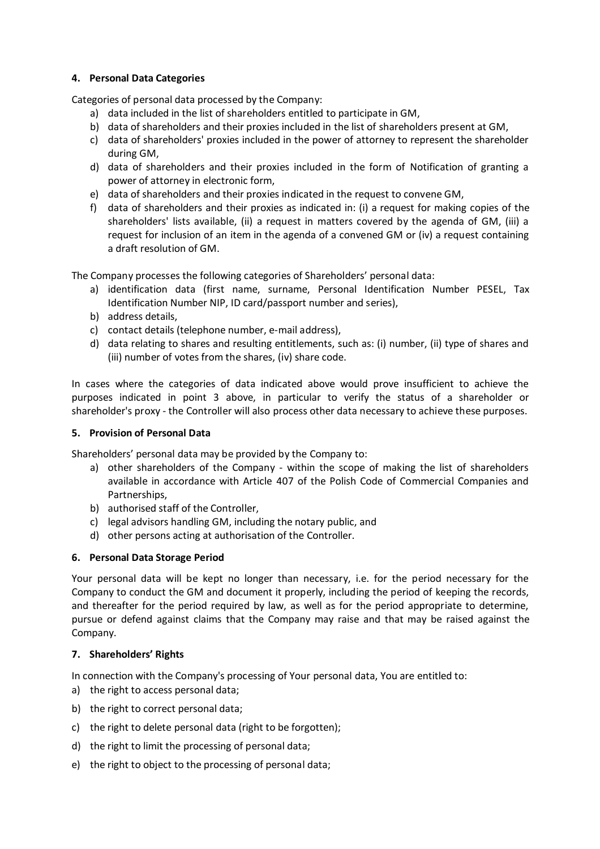## **4. Personal Data Categories**

Categories of personal data processed by the Company:

- a) data included in the list of shareholders entitled to participate in GM,
- b) data of shareholders and their proxies included in the list of shareholders present at GM,
- c) data of shareholders' proxies included in the power of attorney to represent the shareholder during GM,
- d) data of shareholders and their proxies included in the form of Notification of granting a power of attorney in electronic form,
- e) data of shareholders and their proxies indicated in the request to convene GM,
- f) data of shareholders and their proxies as indicated in: (i) a request for making copies of the shareholders' lists available, (ii) a request in matters covered by the agenda of GM, (iii) a request for inclusion of an item in the agenda of a convened GM or (iv) a request containing a draft resolution of GM.

The Company processes the following categories of Shareholders' personal data:

- a) identification data (first name, surname, Personal Identification Number PESEL, Tax Identification Number NIP, ID card/passport number and series),
- b) address details,
- c) contact details (telephone number, e-mail address),
- d) data relating to shares and resulting entitlements, such as: (i) number, (ii) type of shares and (iii) number of votes from the shares, (iv) share code.

In cases where the categories of data indicated above would prove insufficient to achieve the purposes indicated in point 3 above, in particular to verify the status of a shareholder or shareholder's proxy - the Controller will also process other data necessary to achieve these purposes.

#### **5. Provision of Personal Data**

Shareholders' personal data may be provided by the Company to:

- a) other shareholders of the Company within the scope of making the list of shareholders available in accordance with Article 407 of the Polish Code of Commercial Companies and Partnerships,
- b) authorised staff of the Controller,
- c) legal advisors handling GM, including the notary public, and
- d) other persons acting at authorisation of the Controller.

#### **6. Personal Data Storage Period**

Your personal data will be kept no longer than necessary, i.e. for the period necessary for the Company to conduct the GM and document it properly, including the period of keeping the records, and thereafter for the period required by law, as well as for the period appropriate to determine, pursue or defend against claims that the Company may raise and that may be raised against the Company.

#### **7. Shareholders' Rights**

In connection with the Company's processing of Your personal data, You are entitled to:

- a) the right to access personal data;
- b) the right to correct personal data;
- c) the right to delete personal data (right to be forgotten);
- d) the right to limit the processing of personal data;
- e) the right to object to the processing of personal data;